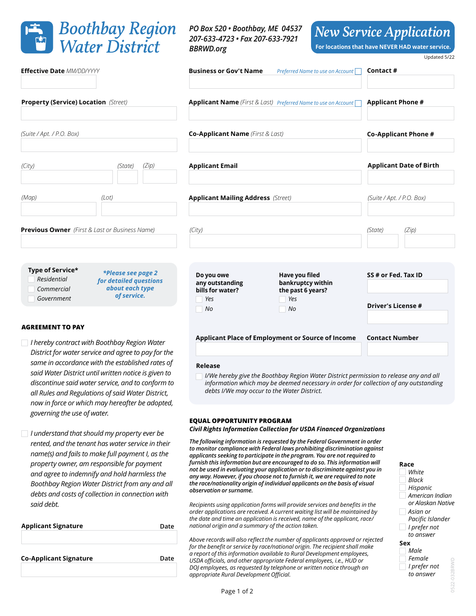

**Applicant Signature**

*said debt.*

**AGREEMENT TO PAY**

*governing the use of water.*

*I hereby contract with Boothbay Region Water District for water service and agree to pay for the same in accordance with the established rates of said Water District until written notice is given to discontinue said water service, and to conform to all Rules and Regulations of said Water District, now in force or which may hereafter be adopted,* 

*I understand that should my property ever be rented, and the tenant has water service in their name(s) and fails to make full payment I, as the property owner, am responsible for payment and agree to indemnify and hold harmless the Boothbay Region Water District from any and all debts and costs of collection in connection with* 

**Co-Applicant Signature Date**

*PO Box 520 • Boothbay, ME 04537 207-633-4723 • Fax 207-633-7921 BBRWD.org*

*New Service Application*

**For locations that have NEVER HAD water service.**

Updated 5/22

| <b>Effective Date MM/DD/YYYY</b>                      |                                           | <b>Business or Gov't Name</b>             | Preferred Name to use on Account                               | Contact#                       |
|-------------------------------------------------------|-------------------------------------------|-------------------------------------------|----------------------------------------------------------------|--------------------------------|
|                                                       |                                           |                                           |                                                                |                                |
| <b>Property (Service) Location (Street)</b>           |                                           |                                           | Applicant Name (First & Last) Preferred Name to use on Account | <b>Applicant Phone #</b>       |
|                                                       |                                           |                                           |                                                                |                                |
| (Suite / Apt. / P.O. Box)                             |                                           | <b>Co-Applicant Name</b> (First & Last)   |                                                                | Co-Applicant Phone #           |
|                                                       |                                           |                                           |                                                                |                                |
| (City)                                                | (Zip)<br>(State)                          | <b>Applicant Email</b>                    |                                                                | <b>Applicant Date of Birth</b> |
|                                                       |                                           |                                           |                                                                |                                |
| (Map)                                                 | (Lot)                                     | <b>Applicant Mailing Address (Street)</b> |                                                                | (Suite / Apt. / P.O. Box)      |
|                                                       |                                           |                                           |                                                                |                                |
| <b>Previous Owner</b> (First & Last or Business Name) |                                           | (City)                                    |                                                                | (State)<br>(Zip)               |
|                                                       |                                           |                                           |                                                                |                                |
|                                                       |                                           |                                           |                                                                |                                |
| Type of Service*                                      | <i>*Please see page 2</i>                 | Do you owe                                | Have you filed                                                 | SS # or Fed. Tax ID            |
| Residential<br>Commercial                             | for detailed questions<br>about each type | any outstanding<br>bills for water?       | bankruptcy within                                              |                                |
| Government                                            | of service.                               | Yes                                       | the past 6 years?<br>Yes<br>a ka                               |                                |
|                                                       |                                           | No                                        | <b>No</b>                                                      | <b>Driver's License #</b>      |
|                                                       |                                           |                                           |                                                                |                                |

## **Applicant Place of Employment or Source of Income Contact Number**

#### **Release**

**Date**

*I/We hereby give the Boothbay Region Water District permission to release any and all information which may be deemed necessary in order for collection of any outstanding debts I/We may occur to the Water District.*

### **EQUAL OPPORTUNITY PROGRAM**

*Civil Rights Information Collection for USDA Financed Organizations*

*The following information is requested by the Federal Government in order to monitor compliance with Federal laws prohibiting discrimination against applicants seeking to participate in the program. You are not required to furnish this information but are encouraged to do so. This information will not be used in evaluating your application or to discriminate against you in any way. However, if you choose not to furnish it, we are required to note the race/nationality origin of individual applicants on the basis of visual observation or surname.*

*Recipients using application forms will provide services and benefits in the order applications are received. A current waiting list will be maintained by the date and time an application is received, name of the applicant, race/ national origin and a summary of the action taken.*

*Above records will also reflect the number of applicants approved or rejected for the benefit or service by race/national origin. The recipient shall make a report of this information available to Rural Development employees, USDA officials, and other appropriate Federal employees, i.e., HUD or DOJ employees, as requested by telephone or written notice through an appropriate Rural Development Official.*

## **Race**

**Sex** *Male I prefer not Female White Hispanic Asian or Pacific Islander Black American Indian or Alaskan Native I prefer not to answer*

*to answer*